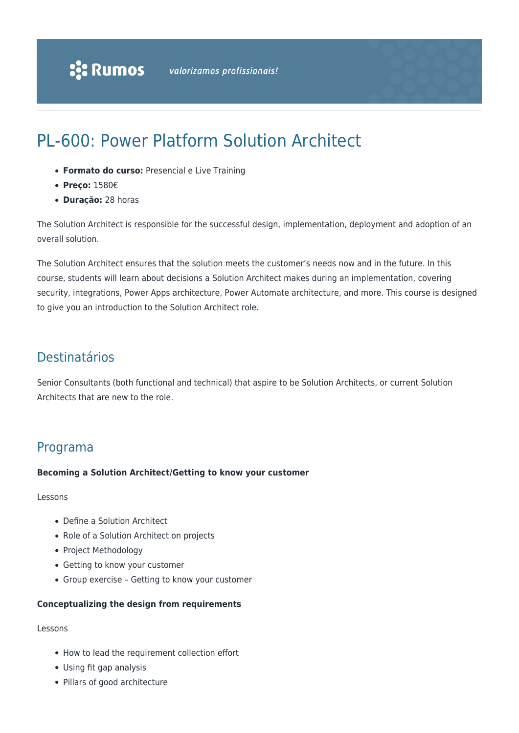# PL-600: Power Platform Solution Architect

- **Formato do curso:** Presencial e Live Training
- **Preço:** 1580€
- **Duração:** 28 horas

The Solution Architect is responsible for the successful design, implementation, deployment and adoption of an overall solution.

The Solution Architect ensures that the solution meets the customer's needs now and in the future. In this course, students will learn about decisions a Solution Architect makes during an implementation, covering security, integrations, Power Apps architecture, Power Automate architecture, and more. This course is designed to give you an introduction to the Solution Architect role.

# Destinatários

Senior Consultants (both functional and technical) that aspire to be Solution Architects, or current Solution Architects that are new to the role.

# Programa

#### **Becoming a Solution Architect/Getting to know your customer**

#### Lessons

- Define a Solution Architect
- Role of a Solution Architect on projects
- Project Methodology
- Getting to know your customer
- Group exercise Getting to know your customer

## **Conceptualizing the design from requirements**

#### Lessons

- How to lead the requirement collection effort
- Using fit gap analysis
- Pillars of good architecture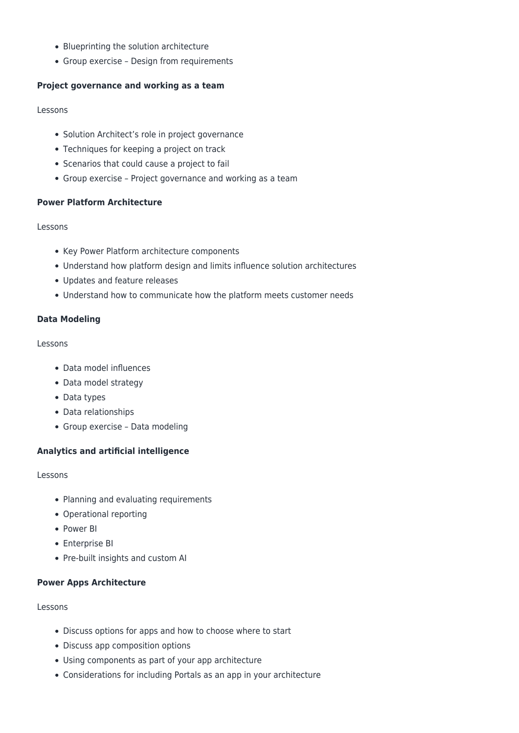- Blueprinting the solution architecture
- Group exercise Design from requirements

# **Project governance and working as a team**

#### Lessons

- Solution Architect's role in project governance
- Techniques for keeping a project on track
- Scenarios that could cause a project to fail
- Group exercise Project governance and working as a team

# **Power Platform Architecture**

# Lessons

- Key Power Platform architecture components
- Understand how platform design and limits influence solution architectures
- Updates and feature releases
- Understand how to communicate how the platform meets customer needs

# **Data Modeling**

## Lessons

- Data model influences
- Data model strategy
- Data types
- Data relationships
- Group exercise Data modeling

# **Analytics and artificial intelligence**

## Lessons

- Planning and evaluating requirements
- Operational reporting
- Power BI
- Enterprise BI
- Pre-built insights and custom AI

## **Power Apps Architecture**

## Lessons

- Discuss options for apps and how to choose where to start
- Discuss app composition options
- Using components as part of your app architecture
- Considerations for including Portals as an app in your architecture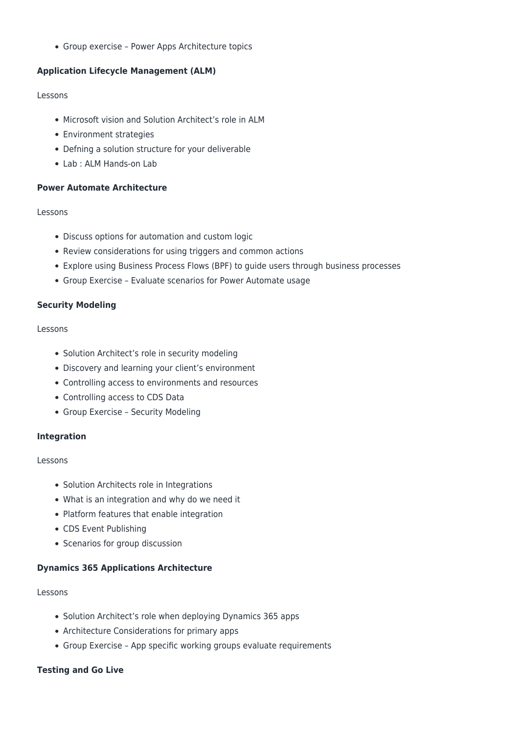Group exercise – Power Apps Architecture topics

## **Application Lifecycle Management (ALM)**

#### Lessons

- Microsoft vision and Solution Architect's role in ALM
- Environment strategies
- Defning a solution structure for your deliverable
- Lab : ALM Hands-on Lab

## **Power Automate Architecture**

#### Lessons

- Discuss options for automation and custom logic
- Review considerations for using triggers and common actions
- Explore using Business Process Flows (BPF) to guide users through business processes
- Group Exercise Evaluate scenarios for Power Automate usage

## **Security Modeling**

#### Lessons

- Solution Architect's role in security modeling
- Discovery and learning your client's environment
- Controlling access to environments and resources
- Controlling access to CDS Data
- Group Exercise Security Modeling

## **Integration**

## Lessons

- Solution Architects role in Integrations
- What is an integration and why do we need it
- Platform features that enable integration
- CDS Event Publishing
- Scenarios for group discussion

## **Dynamics 365 Applications Architecture**

## Lessons

- Solution Architect's role when deploying Dynamics 365 apps
- Architecture Considerations for primary apps
- Group Exercise App specific working groups evaluate requirements

## **Testing and Go Live**